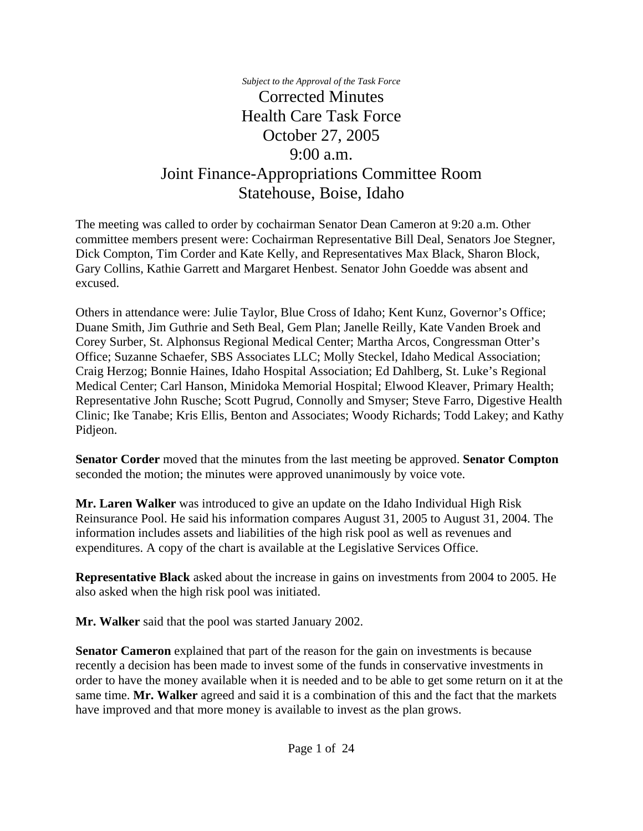*Subject to the Approval of the Task Force* Corrected Minutes Health Care Task Force October 27, 2005 9:00 a.m. Joint Finance-Appropriations Committee Room Statehouse, Boise, Idaho

The meeting was called to order by cochairman Senator Dean Cameron at 9:20 a.m. Other committee members present were: Cochairman Representative Bill Deal, Senators Joe Stegner, Dick Compton, Tim Corder and Kate Kelly, and Representatives Max Black, Sharon Block, Gary Collins, Kathie Garrett and Margaret Henbest. Senator John Goedde was absent and excused.

Others in attendance were: Julie Taylor, Blue Cross of Idaho; Kent Kunz, Governor's Office; Duane Smith, Jim Guthrie and Seth Beal, Gem Plan; Janelle Reilly, Kate Vanden Broek and Corey Surber, St. Alphonsus Regional Medical Center; Martha Arcos, Congressman Otter's Office; Suzanne Schaefer, SBS Associates LLC; Molly Steckel, Idaho Medical Association; Craig Herzog; Bonnie Haines, Idaho Hospital Association; Ed Dahlberg, St. Luke's Regional Medical Center; Carl Hanson, Minidoka Memorial Hospital; Elwood Kleaver, Primary Health; Representative John Rusche; Scott Pugrud, Connolly and Smyser; Steve Farro, Digestive Health Clinic; Ike Tanabe; Kris Ellis, Benton and Associates; Woody Richards; Todd Lakey; and Kathy Pidjeon.

**Senator Corder** moved that the minutes from the last meeting be approved. **Senator Compton** seconded the motion; the minutes were approved unanimously by voice vote.

**Mr. Laren Walker** was introduced to give an update on the Idaho Individual High Risk Reinsurance Pool. He said his information compares August 31, 2005 to August 31, 2004. The information includes assets and liabilities of the high risk pool as well as revenues and expenditures. A copy of the chart is available at the Legislative Services Office.

**Representative Black** asked about the increase in gains on investments from 2004 to 2005. He also asked when the high risk pool was initiated.

**Mr. Walker** said that the pool was started January 2002.

**Senator Cameron** explained that part of the reason for the gain on investments is because recently a decision has been made to invest some of the funds in conservative investments in order to have the money available when it is needed and to be able to get some return on it at the same time. **Mr. Walker** agreed and said it is a combination of this and the fact that the markets have improved and that more money is available to invest as the plan grows.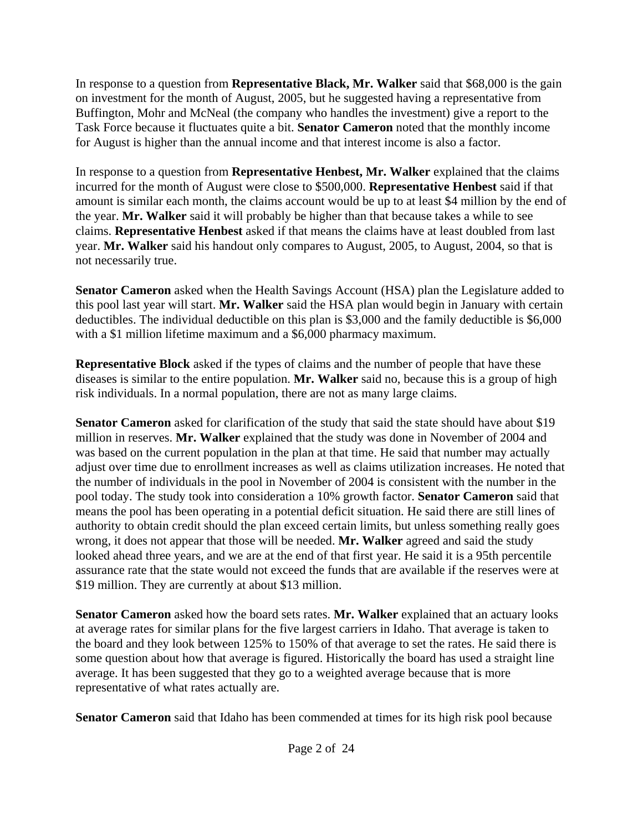In response to a question from **Representative Black, Mr. Walker** said that \$68,000 is the gain on investment for the month of August, 2005, but he suggested having a representative from Buffington, Mohr and McNeal (the company who handles the investment) give a report to the Task Force because it fluctuates quite a bit. **Senator Cameron** noted that the monthly income for August is higher than the annual income and that interest income is also a factor.

In response to a question from **Representative Henbest, Mr. Walker** explained that the claims incurred for the month of August were close to \$500,000. **Representative Henbest** said if that amount is similar each month, the claims account would be up to at least \$4 million by the end of the year. **Mr. Walker** said it will probably be higher than that because takes a while to see claims. **Representative Henbest** asked if that means the claims have at least doubled from last year. **Mr. Walker** said his handout only compares to August, 2005, to August, 2004, so that is not necessarily true.

**Senator Cameron** asked when the Health Savings Account (HSA) plan the Legislature added to this pool last year will start. **Mr. Walker** said the HSA plan would begin in January with certain deductibles. The individual deductible on this plan is \$3,000 and the family deductible is \$6,000 with a \$1 million lifetime maximum and a \$6,000 pharmacy maximum.

**Representative Block** asked if the types of claims and the number of people that have these diseases is similar to the entire population. **Mr. Walker** said no, because this is a group of high risk individuals. In a normal population, there are not as many large claims.

**Senator Cameron** asked for clarification of the study that said the state should have about \$19 million in reserves. **Mr. Walker** explained that the study was done in November of 2004 and was based on the current population in the plan at that time. He said that number may actually adjust over time due to enrollment increases as well as claims utilization increases. He noted that the number of individuals in the pool in November of 2004 is consistent with the number in the pool today. The study took into consideration a 10% growth factor. **Senator Cameron** said that means the pool has been operating in a potential deficit situation. He said there are still lines of authority to obtain credit should the plan exceed certain limits, but unless something really goes wrong, it does not appear that those will be needed. **Mr. Walker** agreed and said the study looked ahead three years, and we are at the end of that first year. He said it is a 95th percentile assurance rate that the state would not exceed the funds that are available if the reserves were at \$19 million. They are currently at about \$13 million.

**Senator Cameron** asked how the board sets rates. **Mr. Walker** explained that an actuary looks at average rates for similar plans for the five largest carriers in Idaho. That average is taken to the board and they look between 125% to 150% of that average to set the rates. He said there is some question about how that average is figured. Historically the board has used a straight line average. It has been suggested that they go to a weighted average because that is more representative of what rates actually are.

**Senator Cameron** said that Idaho has been commended at times for its high risk pool because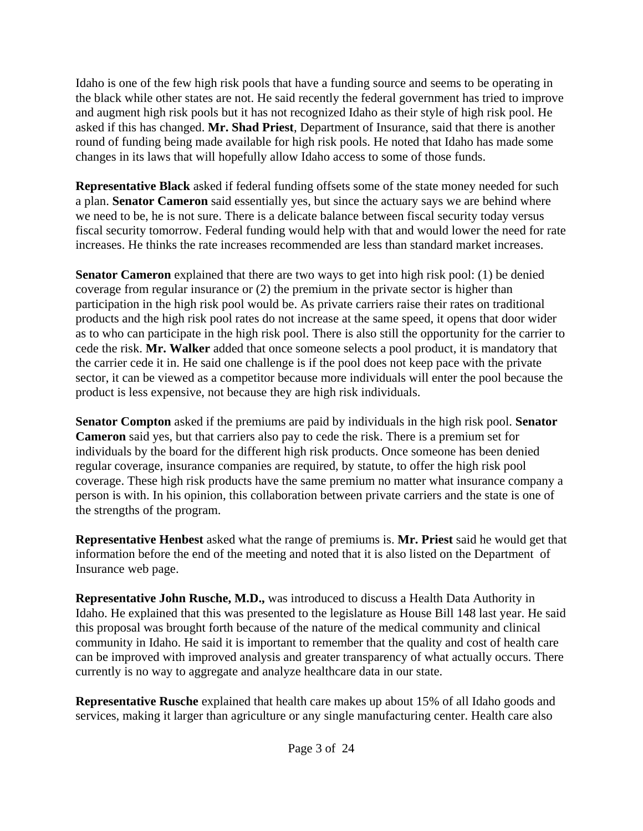Idaho is one of the few high risk pools that have a funding source and seems to be operating in the black while other states are not. He said recently the federal government has tried to improve and augment high risk pools but it has not recognized Idaho as their style of high risk pool. He asked if this has changed. **Mr. Shad Priest**, Department of Insurance, said that there is another round of funding being made available for high risk pools. He noted that Idaho has made some changes in its laws that will hopefully allow Idaho access to some of those funds.

**Representative Black** asked if federal funding offsets some of the state money needed for such a plan. **Senator Cameron** said essentially yes, but since the actuary says we are behind where we need to be, he is not sure. There is a delicate balance between fiscal security today versus fiscal security tomorrow. Federal funding would help with that and would lower the need for rate increases. He thinks the rate increases recommended are less than standard market increases.

**Senator Cameron** explained that there are two ways to get into high risk pool: (1) be denied coverage from regular insurance or (2) the premium in the private sector is higher than participation in the high risk pool would be. As private carriers raise their rates on traditional products and the high risk pool rates do not increase at the same speed, it opens that door wider as to who can participate in the high risk pool. There is also still the opportunity for the carrier to cede the risk. **Mr. Walker** added that once someone selects a pool product, it is mandatory that the carrier cede it in. He said one challenge is if the pool does not keep pace with the private sector, it can be viewed as a competitor because more individuals will enter the pool because the product is less expensive, not because they are high risk individuals.

**Senator Compton** asked if the premiums are paid by individuals in the high risk pool. **Senator Cameron** said yes, but that carriers also pay to cede the risk. There is a premium set for individuals by the board for the different high risk products. Once someone has been denied regular coverage, insurance companies are required, by statute, to offer the high risk pool coverage. These high risk products have the same premium no matter what insurance company a person is with. In his opinion, this collaboration between private carriers and the state is one of the strengths of the program.

**Representative Henbest** asked what the range of premiums is. **Mr. Priest** said he would get that information before the end of the meeting and noted that it is also listed on the Department of Insurance web page.

**Representative John Rusche, M.D.,** was introduced to discuss a Health Data Authority in Idaho. He explained that this was presented to the legislature as House Bill 148 last year. He said this proposal was brought forth because of the nature of the medical community and clinical community in Idaho. He said it is important to remember that the quality and cost of health care can be improved with improved analysis and greater transparency of what actually occurs. There currently is no way to aggregate and analyze healthcare data in our state.

**Representative Rusche** explained that health care makes up about 15% of all Idaho goods and services, making it larger than agriculture or any single manufacturing center. Health care also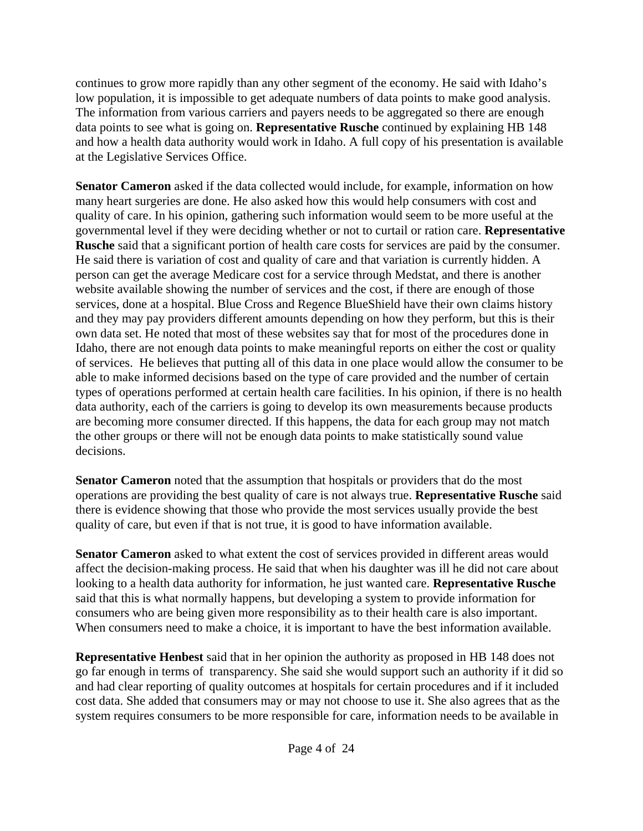continues to grow more rapidly than any other segment of the economy. He said with Idaho's low population, it is impossible to get adequate numbers of data points to make good analysis. The information from various carriers and payers needs to be aggregated so there are enough data points to see what is going on. **Representative Rusche** continued by explaining HB 148 and how a health data authority would work in Idaho. A full copy of his presentation is available at the Legislative Services Office.

**Senator Cameron** asked if the data collected would include, for example, information on how many heart surgeries are done. He also asked how this would help consumers with cost and quality of care. In his opinion, gathering such information would seem to be more useful at the governmental level if they were deciding whether or not to curtail or ration care. **Representative Rusche** said that a significant portion of health care costs for services are paid by the consumer. He said there is variation of cost and quality of care and that variation is currently hidden. A person can get the average Medicare cost for a service through Medstat, and there is another website available showing the number of services and the cost, if there are enough of those services, done at a hospital. Blue Cross and Regence BlueShield have their own claims history and they may pay providers different amounts depending on how they perform, but this is their own data set. He noted that most of these websites say that for most of the procedures done in Idaho, there are not enough data points to make meaningful reports on either the cost or quality of services. He believes that putting all of this data in one place would allow the consumer to be able to make informed decisions based on the type of care provided and the number of certain types of operations performed at certain health care facilities. In his opinion, if there is no health data authority, each of the carriers is going to develop its own measurements because products are becoming more consumer directed. If this happens, the data for each group may not match the other groups or there will not be enough data points to make statistically sound value decisions.

**Senator Cameron** noted that the assumption that hospitals or providers that do the most operations are providing the best quality of care is not always true. **Representative Rusche** said there is evidence showing that those who provide the most services usually provide the best quality of care, but even if that is not true, it is good to have information available.

**Senator Cameron** asked to what extent the cost of services provided in different areas would affect the decision-making process. He said that when his daughter was ill he did not care about looking to a health data authority for information, he just wanted care. **Representative Rusche** said that this is what normally happens, but developing a system to provide information for consumers who are being given more responsibility as to their health care is also important. When consumers need to make a choice, it is important to have the best information available.

**Representative Henbest** said that in her opinion the authority as proposed in HB 148 does not go far enough in terms of transparency. She said she would support such an authority if it did so and had clear reporting of quality outcomes at hospitals for certain procedures and if it included cost data. She added that consumers may or may not choose to use it. She also agrees that as the system requires consumers to be more responsible for care, information needs to be available in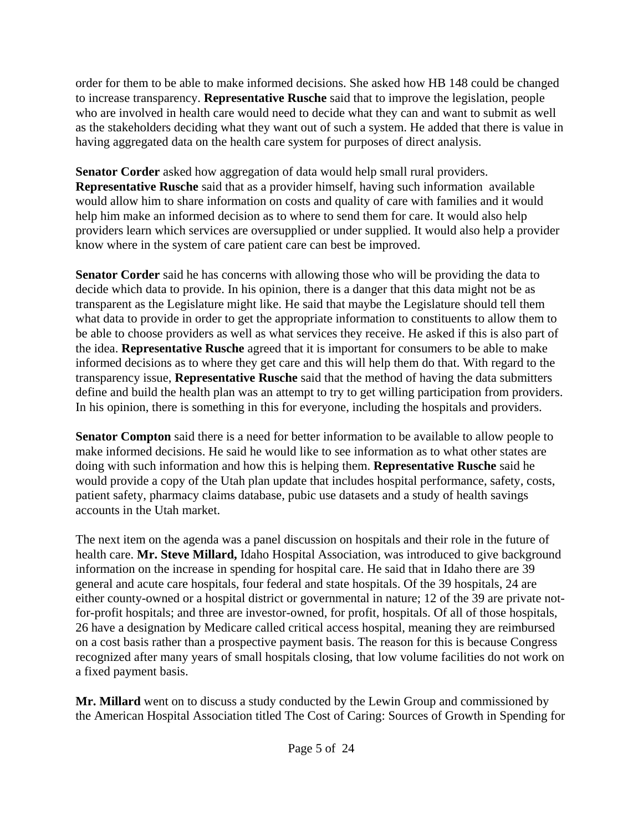order for them to be able to make informed decisions. She asked how HB 148 could be changed to increase transparency. **Representative Rusche** said that to improve the legislation, people who are involved in health care would need to decide what they can and want to submit as well as the stakeholders deciding what they want out of such a system. He added that there is value in having aggregated data on the health care system for purposes of direct analysis.

**Senator Corder** asked how aggregation of data would help small rural providers. **Representative Rusche** said that as a provider himself, having such information available would allow him to share information on costs and quality of care with families and it would help him make an informed decision as to where to send them for care. It would also help providers learn which services are oversupplied or under supplied. It would also help a provider know where in the system of care patient care can best be improved.

**Senator Corder** said he has concerns with allowing those who will be providing the data to decide which data to provide. In his opinion, there is a danger that this data might not be as transparent as the Legislature might like. He said that maybe the Legislature should tell them what data to provide in order to get the appropriate information to constituents to allow them to be able to choose providers as well as what services they receive. He asked if this is also part of the idea. **Representative Rusche** agreed that it is important for consumers to be able to make informed decisions as to where they get care and this will help them do that. With regard to the transparency issue, **Representative Rusche** said that the method of having the data submitters define and build the health plan was an attempt to try to get willing participation from providers. In his opinion, there is something in this for everyone, including the hospitals and providers.

**Senator Compton** said there is a need for better information to be available to allow people to make informed decisions. He said he would like to see information as to what other states are doing with such information and how this is helping them. **Representative Rusche** said he would provide a copy of the Utah plan update that includes hospital performance, safety, costs, patient safety, pharmacy claims database, pubic use datasets and a study of health savings accounts in the Utah market.

The next item on the agenda was a panel discussion on hospitals and their role in the future of health care. **Mr. Steve Millard,** Idaho Hospital Association, was introduced to give background information on the increase in spending for hospital care. He said that in Idaho there are 39 general and acute care hospitals, four federal and state hospitals. Of the 39 hospitals, 24 are either county-owned or a hospital district or governmental in nature; 12 of the 39 are private notfor-profit hospitals; and three are investor-owned, for profit, hospitals. Of all of those hospitals, 26 have a designation by Medicare called critical access hospital, meaning they are reimbursed on a cost basis rather than a prospective payment basis. The reason for this is because Congress recognized after many years of small hospitals closing, that low volume facilities do not work on a fixed payment basis.

**Mr. Millard** went on to discuss a study conducted by the Lewin Group and commissioned by the American Hospital Association titled The Cost of Caring: Sources of Growth in Spending for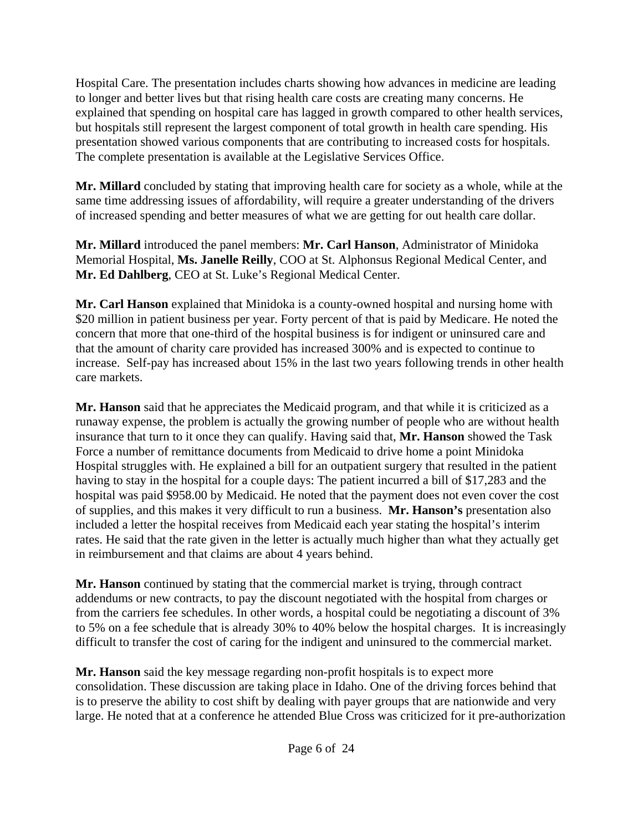Hospital Care. The presentation includes charts showing how advances in medicine are leading to longer and better lives but that rising health care costs are creating many concerns. He explained that spending on hospital care has lagged in growth compared to other health services, but hospitals still represent the largest component of total growth in health care spending. His presentation showed various components that are contributing to increased costs for hospitals. The complete presentation is available at the Legislative Services Office.

**Mr. Millard** concluded by stating that improving health care for society as a whole, while at the same time addressing issues of affordability, will require a greater understanding of the drivers of increased spending and better measures of what we are getting for out health care dollar.

**Mr. Millard** introduced the panel members: **Mr. Carl Hanson**, Administrator of Minidoka Memorial Hospital, **Ms. Janelle Reilly**, COO at St. Alphonsus Regional Medical Center, and **Mr. Ed Dahlberg**, CEO at St. Luke's Regional Medical Center.

**Mr. Carl Hanson** explained that Minidoka is a county-owned hospital and nursing home with \$20 million in patient business per year. Forty percent of that is paid by Medicare. He noted the concern that more that one-third of the hospital business is for indigent or uninsured care and that the amount of charity care provided has increased 300% and is expected to continue to increase. Self-pay has increased about 15% in the last two years following trends in other health care markets.

**Mr. Hanson** said that he appreciates the Medicaid program, and that while it is criticized as a runaway expense, the problem is actually the growing number of people who are without health insurance that turn to it once they can qualify. Having said that, **Mr. Hanson** showed the Task Force a number of remittance documents from Medicaid to drive home a point Minidoka Hospital struggles with. He explained a bill for an outpatient surgery that resulted in the patient having to stay in the hospital for a couple days: The patient incurred a bill of \$17,283 and the hospital was paid \$958.00 by Medicaid. He noted that the payment does not even cover the cost of supplies, and this makes it very difficult to run a business. **Mr. Hanson's** presentation also included a letter the hospital receives from Medicaid each year stating the hospital's interim rates. He said that the rate given in the letter is actually much higher than what they actually get in reimbursement and that claims are about 4 years behind.

**Mr. Hanson** continued by stating that the commercial market is trying, through contract addendums or new contracts, to pay the discount negotiated with the hospital from charges or from the carriers fee schedules. In other words, a hospital could be negotiating a discount of 3% to 5% on a fee schedule that is already 30% to 40% below the hospital charges. It is increasingly difficult to transfer the cost of caring for the indigent and uninsured to the commercial market.

**Mr. Hanson** said the key message regarding non-profit hospitals is to expect more consolidation. These discussion are taking place in Idaho. One of the driving forces behind that is to preserve the ability to cost shift by dealing with payer groups that are nationwide and very large. He noted that at a conference he attended Blue Cross was criticized for it pre-authorization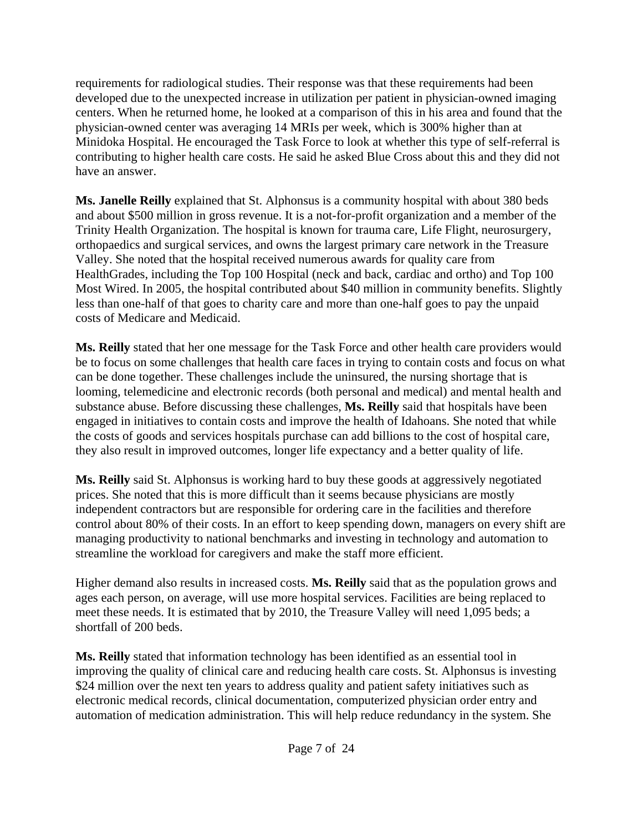requirements for radiological studies. Their response was that these requirements had been developed due to the unexpected increase in utilization per patient in physician-owned imaging centers. When he returned home, he looked at a comparison of this in his area and found that the physician-owned center was averaging 14 MRIs per week, which is 300% higher than at Minidoka Hospital. He encouraged the Task Force to look at whether this type of self-referral is contributing to higher health care costs. He said he asked Blue Cross about this and they did not have an answer.

**Ms. Janelle Reilly** explained that St. Alphonsus is a community hospital with about 380 beds and about \$500 million in gross revenue. It is a not-for-profit organization and a member of the Trinity Health Organization. The hospital is known for trauma care, Life Flight, neurosurgery, orthopaedics and surgical services, and owns the largest primary care network in the Treasure Valley. She noted that the hospital received numerous awards for quality care from HealthGrades, including the Top 100 Hospital (neck and back, cardiac and ortho) and Top 100 Most Wired. In 2005, the hospital contributed about \$40 million in community benefits. Slightly less than one-half of that goes to charity care and more than one-half goes to pay the unpaid costs of Medicare and Medicaid.

**Ms. Reilly** stated that her one message for the Task Force and other health care providers would be to focus on some challenges that health care faces in trying to contain costs and focus on what can be done together. These challenges include the uninsured, the nursing shortage that is looming, telemedicine and electronic records (both personal and medical) and mental health and substance abuse. Before discussing these challenges, **Ms. Reilly** said that hospitals have been engaged in initiatives to contain costs and improve the health of Idahoans. She noted that while the costs of goods and services hospitals purchase can add billions to the cost of hospital care, they also result in improved outcomes, longer life expectancy and a better quality of life.

**Ms. Reilly** said St. Alphonsus is working hard to buy these goods at aggressively negotiated prices. She noted that this is more difficult than it seems because physicians are mostly independent contractors but are responsible for ordering care in the facilities and therefore control about 80% of their costs. In an effort to keep spending down, managers on every shift are managing productivity to national benchmarks and investing in technology and automation to streamline the workload for caregivers and make the staff more efficient.

Higher demand also results in increased costs. **Ms. Reilly** said that as the population grows and ages each person, on average, will use more hospital services. Facilities are being replaced to meet these needs. It is estimated that by 2010, the Treasure Valley will need 1,095 beds; a shortfall of 200 beds.

**Ms. Reilly** stated that information technology has been identified as an essential tool in improving the quality of clinical care and reducing health care costs. St. Alphonsus is investing \$24 million over the next ten years to address quality and patient safety initiatives such as electronic medical records, clinical documentation, computerized physician order entry and automation of medication administration. This will help reduce redundancy in the system. She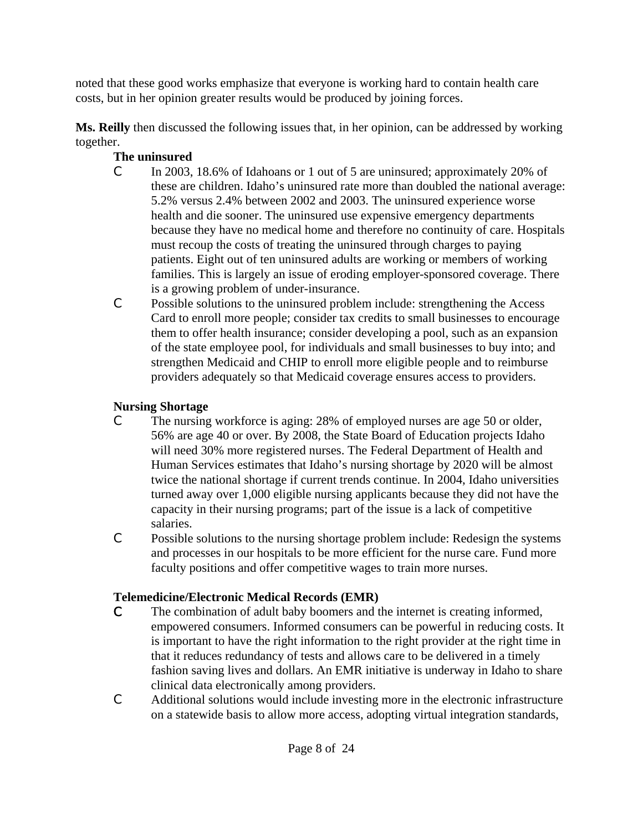noted that these good works emphasize that everyone is working hard to contain health care costs, but in her opinion greater results would be produced by joining forces.

**Ms. Reilly** then discussed the following issues that, in her opinion, can be addressed by working together.

### **The uninsured**

- C In 2003, 18.6% of Idahoans or 1 out of 5 are uninsured; approximately 20% of these are children. Idaho's uninsured rate more than doubled the national average: 5.2% versus 2.4% between 2002 and 2003. The uninsured experience worse health and die sooner. The uninsured use expensive emergency departments because they have no medical home and therefore no continuity of care. Hospitals must recoup the costs of treating the uninsured through charges to paying patients. Eight out of ten uninsured adults are working or members of working families. This is largely an issue of eroding employer-sponsored coverage. There is a growing problem of under-insurance.
- C Possible solutions to the uninsured problem include: strengthening the Access Card to enroll more people; consider tax credits to small businesses to encourage them to offer health insurance; consider developing a pool, such as an expansion of the state employee pool, for individuals and small businesses to buy into; and strengthen Medicaid and CHIP to enroll more eligible people and to reimburse providers adequately so that Medicaid coverage ensures access to providers.

# **Nursing Shortage**

- C The nursing workforce is aging: 28% of employed nurses are age 50 or older, 56% are age 40 or over. By 2008, the State Board of Education projects Idaho will need 30% more registered nurses. The Federal Department of Health and Human Services estimates that Idaho's nursing shortage by 2020 will be almost twice the national shortage if current trends continue. In 2004, Idaho universities turned away over 1,000 eligible nursing applicants because they did not have the capacity in their nursing programs; part of the issue is a lack of competitive salaries.
- C Possible solutions to the nursing shortage problem include: Redesign the systems and processes in our hospitals to be more efficient for the nurse care. Fund more faculty positions and offer competitive wages to train more nurses.

# **Telemedicine/Electronic Medical Records (EMR)**

- C The combination of adult baby boomers and the internet is creating informed, empowered consumers. Informed consumers can be powerful in reducing costs. It is important to have the right information to the right provider at the right time in that it reduces redundancy of tests and allows care to be delivered in a timely fashion saving lives and dollars. An EMR initiative is underway in Idaho to share clinical data electronically among providers.
- C Additional solutions would include investing more in the electronic infrastructure on a statewide basis to allow more access, adopting virtual integration standards,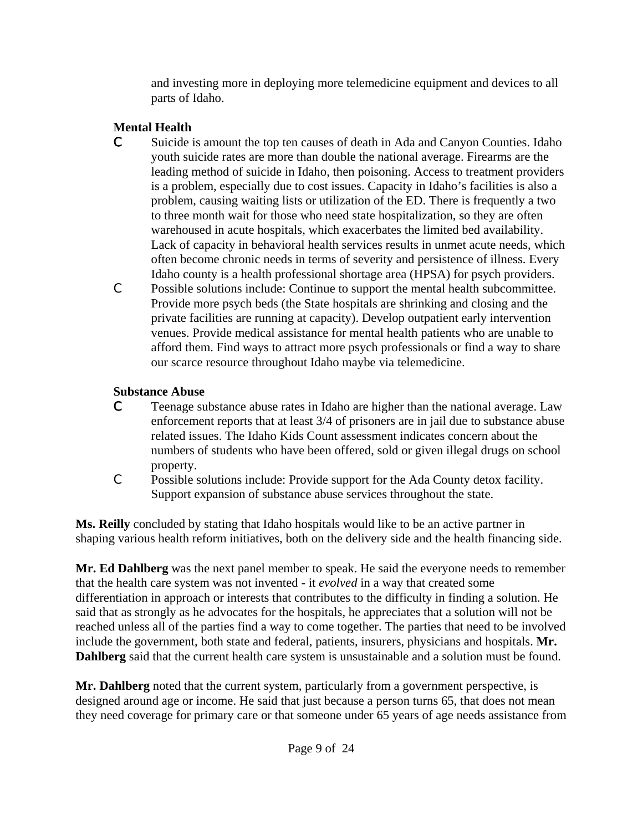and investing more in deploying more telemedicine equipment and devices to all parts of Idaho.

# **Mental Health**

- C Suicide is amount the top ten causes of death in Ada and Canyon Counties. Idaho youth suicide rates are more than double the national average. Firearms are the leading method of suicide in Idaho, then poisoning. Access to treatment providers is a problem, especially due to cost issues. Capacity in Idaho's facilities is also a problem, causing waiting lists or utilization of the ED. There is frequently a two to three month wait for those who need state hospitalization, so they are often warehoused in acute hospitals, which exacerbates the limited bed availability. Lack of capacity in behavioral health services results in unmet acute needs, which often become chronic needs in terms of severity and persistence of illness. Every Idaho county is a health professional shortage area (HPSA) for psych providers.
- C Possible solutions include: Continue to support the mental health subcommittee. Provide more psych beds (the State hospitals are shrinking and closing and the private facilities are running at capacity). Develop outpatient early intervention venues. Provide medical assistance for mental health patients who are unable to afford them. Find ways to attract more psych professionals or find a way to share our scarce resource throughout Idaho maybe via telemedicine.

### **Substance Abuse**

- C Teenage substance abuse rates in Idaho are higher than the national average. Law enforcement reports that at least 3/4 of prisoners are in jail due to substance abuse related issues. The Idaho Kids Count assessment indicates concern about the numbers of students who have been offered, sold or given illegal drugs on school property.
- C Possible solutions include: Provide support for the Ada County detox facility. Support expansion of substance abuse services throughout the state.

**Ms. Reilly** concluded by stating that Idaho hospitals would like to be an active partner in shaping various health reform initiatives, both on the delivery side and the health financing side.

**Mr. Ed Dahlberg** was the next panel member to speak. He said the everyone needs to remember that the health care system was not invented - it *evolved* in a way that created some differentiation in approach or interests that contributes to the difficulty in finding a solution. He said that as strongly as he advocates for the hospitals, he appreciates that a solution will not be reached unless all of the parties find a way to come together. The parties that need to be involved include the government, both state and federal, patients, insurers, physicians and hospitals. **Mr. Dahlberg** said that the current health care system is unsustainable and a solution must be found.

**Mr. Dahlberg** noted that the current system, particularly from a government perspective, is designed around age or income. He said that just because a person turns 65, that does not mean they need coverage for primary care or that someone under 65 years of age needs assistance from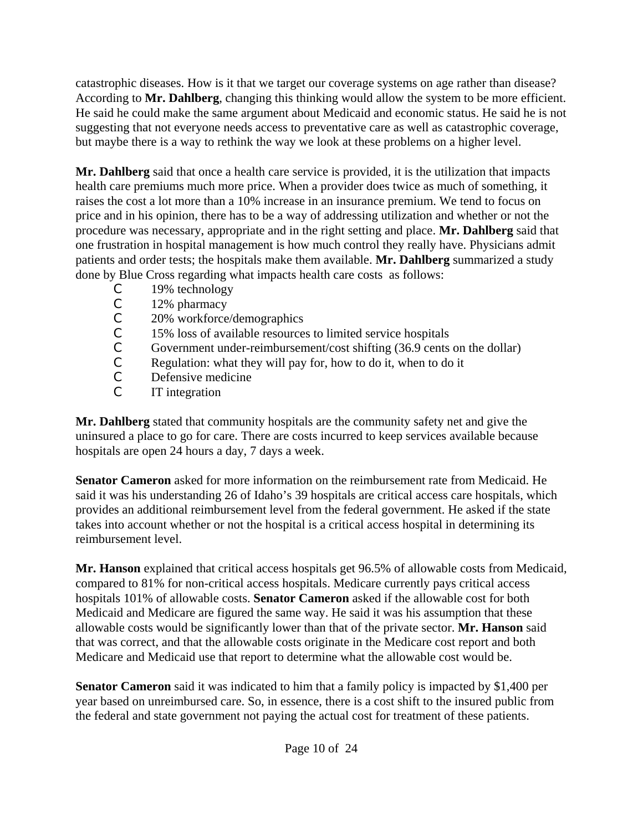catastrophic diseases. How is it that we target our coverage systems on age rather than disease? According to **Mr. Dahlberg**, changing this thinking would allow the system to be more efficient. He said he could make the same argument about Medicaid and economic status. He said he is not suggesting that not everyone needs access to preventative care as well as catastrophic coverage, but maybe there is a way to rethink the way we look at these problems on a higher level.

**Mr. Dahlberg** said that once a health care service is provided, it is the utilization that impacts health care premiums much more price. When a provider does twice as much of something, it raises the cost a lot more than a 10% increase in an insurance premium. We tend to focus on price and in his opinion, there has to be a way of addressing utilization and whether or not the procedure was necessary, appropriate and in the right setting and place. **Mr. Dahlberg** said that one frustration in hospital management is how much control they really have. Physicians admit patients and order tests; the hospitals make them available. **Mr. Dahlberg** summarized a study done by Blue Cross regarding what impacts health care costs as follows:

- C 19% technology
- C 12% pharmacy<br>C 20% workforce
- 20% workforce/demographics
- C 15% loss of available resources to limited service hospitals
- C Government under-reimbursement/cost shifting (36.9 cents on the dollar)
- $\begin{array}{ll}\n\text{C} & \text{Regularian:} \\
\text{C} & \text{Defensive medicine}\n\end{array}$
- Defensive medicine
- C IT integration

**Mr. Dahlberg** stated that community hospitals are the community safety net and give the uninsured a place to go for care. There are costs incurred to keep services available because hospitals are open 24 hours a day, 7 days a week.

**Senator Cameron** asked for more information on the reimbursement rate from Medicaid. He said it was his understanding 26 of Idaho's 39 hospitals are critical access care hospitals, which provides an additional reimbursement level from the federal government. He asked if the state takes into account whether or not the hospital is a critical access hospital in determining its reimbursement level.

**Mr. Hanson** explained that critical access hospitals get 96.5% of allowable costs from Medicaid, compared to 81% for non-critical access hospitals. Medicare currently pays critical access hospitals 101% of allowable costs. **Senator Cameron** asked if the allowable cost for both Medicaid and Medicare are figured the same way. He said it was his assumption that these allowable costs would be significantly lower than that of the private sector. **Mr. Hanson** said that was correct, and that the allowable costs originate in the Medicare cost report and both Medicare and Medicaid use that report to determine what the allowable cost would be.

**Senator Cameron** said it was indicated to him that a family policy is impacted by \$1,400 per year based on unreimbursed care. So, in essence, there is a cost shift to the insured public from the federal and state government not paying the actual cost for treatment of these patients.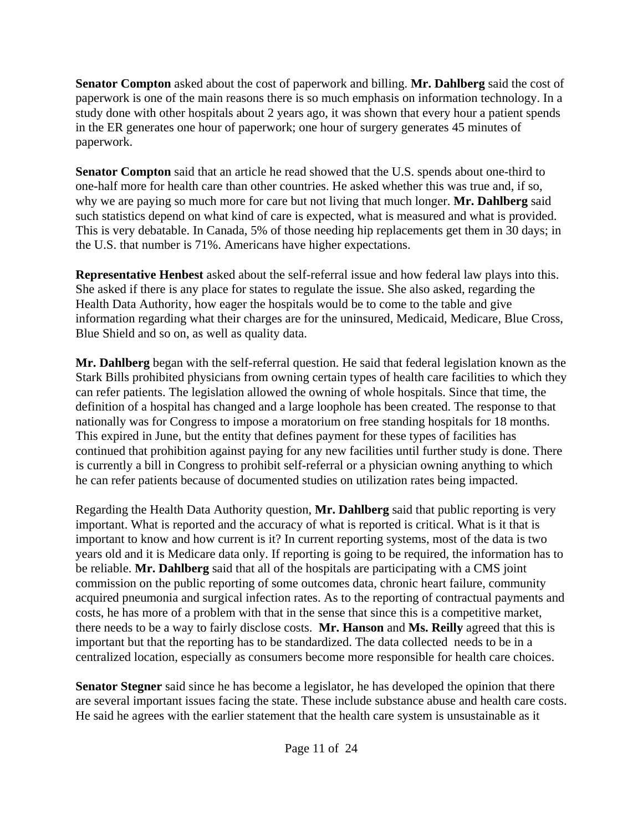**Senator Compton** asked about the cost of paperwork and billing. **Mr. Dahlberg** said the cost of paperwork is one of the main reasons there is so much emphasis on information technology. In a study done with other hospitals about 2 years ago, it was shown that every hour a patient spends in the ER generates one hour of paperwork; one hour of surgery generates 45 minutes of paperwork.

**Senator Compton** said that an article he read showed that the U.S. spends about one-third to one-half more for health care than other countries. He asked whether this was true and, if so, why we are paying so much more for care but not living that much longer. **Mr. Dahlberg** said such statistics depend on what kind of care is expected, what is measured and what is provided. This is very debatable. In Canada, 5% of those needing hip replacements get them in 30 days; in the U.S. that number is 71%. Americans have higher expectations.

**Representative Henbest** asked about the self-referral issue and how federal law plays into this. She asked if there is any place for states to regulate the issue. She also asked, regarding the Health Data Authority, how eager the hospitals would be to come to the table and give information regarding what their charges are for the uninsured, Medicaid, Medicare, Blue Cross, Blue Shield and so on, as well as quality data.

**Mr. Dahlberg** began with the self-referral question. He said that federal legislation known as the Stark Bills prohibited physicians from owning certain types of health care facilities to which they can refer patients. The legislation allowed the owning of whole hospitals. Since that time, the definition of a hospital has changed and a large loophole has been created. The response to that nationally was for Congress to impose a moratorium on free standing hospitals for 18 months. This expired in June, but the entity that defines payment for these types of facilities has continued that prohibition against paying for any new facilities until further study is done. There is currently a bill in Congress to prohibit self-referral or a physician owning anything to which he can refer patients because of documented studies on utilization rates being impacted.

Regarding the Health Data Authority question, **Mr. Dahlberg** said that public reporting is very important. What is reported and the accuracy of what is reported is critical. What is it that is important to know and how current is it? In current reporting systems, most of the data is two years old and it is Medicare data only. If reporting is going to be required, the information has to be reliable. **Mr. Dahlberg** said that all of the hospitals are participating with a CMS joint commission on the public reporting of some outcomes data, chronic heart failure, community acquired pneumonia and surgical infection rates. As to the reporting of contractual payments and costs, he has more of a problem with that in the sense that since this is a competitive market, there needs to be a way to fairly disclose costs. **Mr. Hanson** and **Ms. Reilly** agreed that this is important but that the reporting has to be standardized. The data collected needs to be in a centralized location, especially as consumers become more responsible for health care choices.

**Senator Stegner** said since he has become a legislator, he has developed the opinion that there are several important issues facing the state. These include substance abuse and health care costs. He said he agrees with the earlier statement that the health care system is unsustainable as it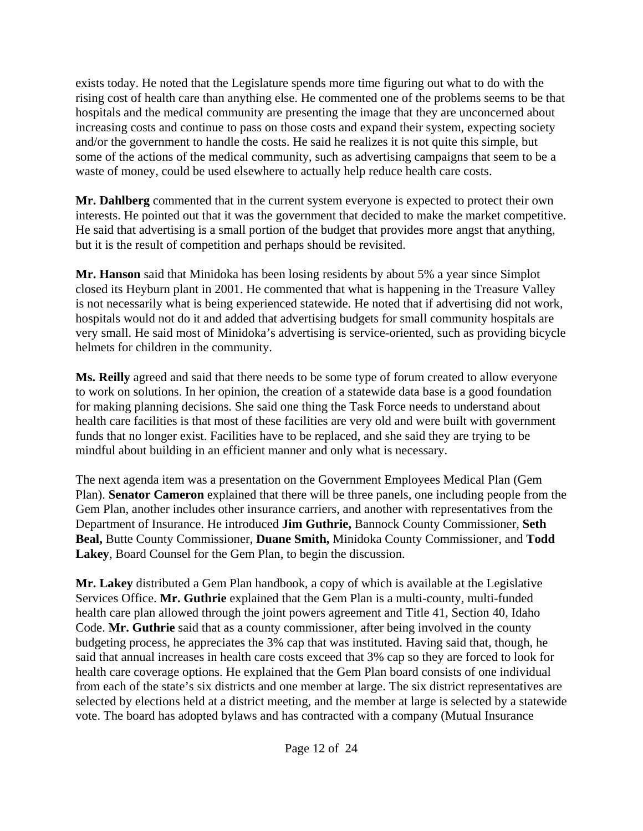exists today. He noted that the Legislature spends more time figuring out what to do with the rising cost of health care than anything else. He commented one of the problems seems to be that hospitals and the medical community are presenting the image that they are unconcerned about increasing costs and continue to pass on those costs and expand their system, expecting society and/or the government to handle the costs. He said he realizes it is not quite this simple, but some of the actions of the medical community, such as advertising campaigns that seem to be a waste of money, could be used elsewhere to actually help reduce health care costs.

**Mr. Dahlberg** commented that in the current system everyone is expected to protect their own interests. He pointed out that it was the government that decided to make the market competitive. He said that advertising is a small portion of the budget that provides more angst that anything, but it is the result of competition and perhaps should be revisited.

**Mr. Hanson** said that Minidoka has been losing residents by about 5% a year since Simplot closed its Heyburn plant in 2001. He commented that what is happening in the Treasure Valley is not necessarily what is being experienced statewide. He noted that if advertising did not work, hospitals would not do it and added that advertising budgets for small community hospitals are very small. He said most of Minidoka's advertising is service-oriented, such as providing bicycle helmets for children in the community.

**Ms. Reilly** agreed and said that there needs to be some type of forum created to allow everyone to work on solutions. In her opinion, the creation of a statewide data base is a good foundation for making planning decisions. She said one thing the Task Force needs to understand about health care facilities is that most of these facilities are very old and were built with government funds that no longer exist. Facilities have to be replaced, and she said they are trying to be mindful about building in an efficient manner and only what is necessary.

The next agenda item was a presentation on the Government Employees Medical Plan (Gem Plan). **Senator Cameron** explained that there will be three panels, one including people from the Gem Plan, another includes other insurance carriers, and another with representatives from the Department of Insurance. He introduced **Jim Guthrie,** Bannock County Commissioner, **Seth Beal,** Butte County Commissioner, **Duane Smith,** Minidoka County Commissioner, and **Todd Lakey**, Board Counsel for the Gem Plan, to begin the discussion.

**Mr. Lakey** distributed a Gem Plan handbook, a copy of which is available at the Legislative Services Office. **Mr. Guthrie** explained that the Gem Plan is a multi-county, multi-funded health care plan allowed through the joint powers agreement and Title 41, Section 40, Idaho Code. **Mr. Guthrie** said that as a county commissioner, after being involved in the county budgeting process, he appreciates the 3% cap that was instituted. Having said that, though, he said that annual increases in health care costs exceed that 3% cap so they are forced to look for health care coverage options. He explained that the Gem Plan board consists of one individual from each of the state's six districts and one member at large. The six district representatives are selected by elections held at a district meeting, and the member at large is selected by a statewide vote. The board has adopted bylaws and has contracted with a company (Mutual Insurance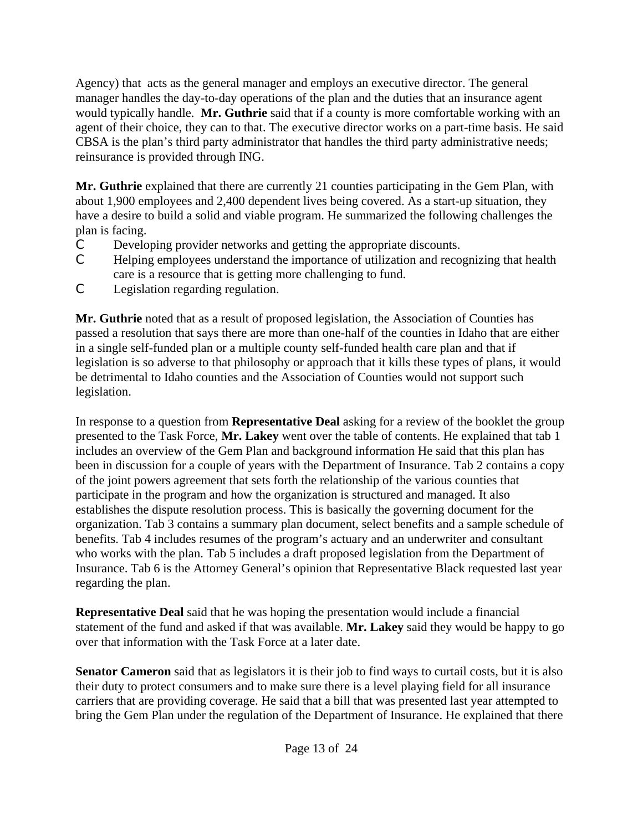Agency) that acts as the general manager and employs an executive director. The general manager handles the day-to-day operations of the plan and the duties that an insurance agent would typically handle. **Mr. Guthrie** said that if a county is more comfortable working with an agent of their choice, they can to that. The executive director works on a part-time basis. He said CBSA is the plan's third party administrator that handles the third party administrative needs; reinsurance is provided through ING.

**Mr. Guthrie** explained that there are currently 21 counties participating in the Gem Plan, with about 1,900 employees and 2,400 dependent lives being covered. As a start-up situation, they have a desire to build a solid and viable program. He summarized the following challenges the plan is facing.

- C Developing provider networks and getting the appropriate discounts.
- C Helping employees understand the importance of utilization and recognizing that health care is a resource that is getting more challenging to fund.
- C Legislation regarding regulation.

**Mr. Guthrie** noted that as a result of proposed legislation, the Association of Counties has passed a resolution that says there are more than one-half of the counties in Idaho that are either in a single self-funded plan or a multiple county self-funded health care plan and that if legislation is so adverse to that philosophy or approach that it kills these types of plans, it would be detrimental to Idaho counties and the Association of Counties would not support such legislation.

In response to a question from **Representative Deal** asking for a review of the booklet the group presented to the Task Force, **Mr. Lakey** went over the table of contents. He explained that tab 1 includes an overview of the Gem Plan and background information He said that this plan has been in discussion for a couple of years with the Department of Insurance. Tab 2 contains a copy of the joint powers agreement that sets forth the relationship of the various counties that participate in the program and how the organization is structured and managed. It also establishes the dispute resolution process. This is basically the governing document for the organization. Tab 3 contains a summary plan document, select benefits and a sample schedule of benefits. Tab 4 includes resumes of the program's actuary and an underwriter and consultant who works with the plan. Tab 5 includes a draft proposed legislation from the Department of Insurance. Tab 6 is the Attorney General's opinion that Representative Black requested last year regarding the plan.

**Representative Deal** said that he was hoping the presentation would include a financial statement of the fund and asked if that was available. **Mr. Lakey** said they would be happy to go over that information with the Task Force at a later date.

**Senator Cameron** said that as legislators it is their job to find ways to curtail costs, but it is also their duty to protect consumers and to make sure there is a level playing field for all insurance carriers that are providing coverage. He said that a bill that was presented last year attempted to bring the Gem Plan under the regulation of the Department of Insurance. He explained that there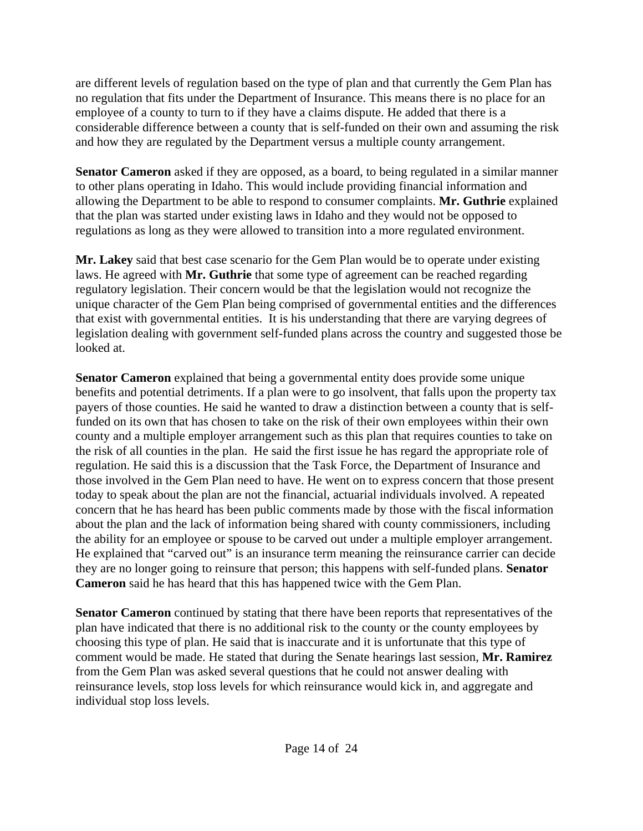are different levels of regulation based on the type of plan and that currently the Gem Plan has no regulation that fits under the Department of Insurance. This means there is no place for an employee of a county to turn to if they have a claims dispute. He added that there is a considerable difference between a county that is self-funded on their own and assuming the risk and how they are regulated by the Department versus a multiple county arrangement.

**Senator Cameron** asked if they are opposed, as a board, to being regulated in a similar manner to other plans operating in Idaho. This would include providing financial information and allowing the Department to be able to respond to consumer complaints. **Mr. Guthrie** explained that the plan was started under existing laws in Idaho and they would not be opposed to regulations as long as they were allowed to transition into a more regulated environment.

**Mr. Lakey** said that best case scenario for the Gem Plan would be to operate under existing laws. He agreed with **Mr. Guthrie** that some type of agreement can be reached regarding regulatory legislation. Their concern would be that the legislation would not recognize the unique character of the Gem Plan being comprised of governmental entities and the differences that exist with governmental entities. It is his understanding that there are varying degrees of legislation dealing with government self-funded plans across the country and suggested those be looked at.

**Senator Cameron** explained that being a governmental entity does provide some unique benefits and potential detriments. If a plan were to go insolvent, that falls upon the property tax payers of those counties. He said he wanted to draw a distinction between a county that is selffunded on its own that has chosen to take on the risk of their own employees within their own county and a multiple employer arrangement such as this plan that requires counties to take on the risk of all counties in the plan. He said the first issue he has regard the appropriate role of regulation. He said this is a discussion that the Task Force, the Department of Insurance and those involved in the Gem Plan need to have. He went on to express concern that those present today to speak about the plan are not the financial, actuarial individuals involved. A repeated concern that he has heard has been public comments made by those with the fiscal information about the plan and the lack of information being shared with county commissioners, including the ability for an employee or spouse to be carved out under a multiple employer arrangement. He explained that "carved out" is an insurance term meaning the reinsurance carrier can decide they are no longer going to reinsure that person; this happens with self-funded plans. **Senator Cameron** said he has heard that this has happened twice with the Gem Plan.

**Senator Cameron** continued by stating that there have been reports that representatives of the plan have indicated that there is no additional risk to the county or the county employees by choosing this type of plan. He said that is inaccurate and it is unfortunate that this type of comment would be made. He stated that during the Senate hearings last session, **Mr. Ramirez** from the Gem Plan was asked several questions that he could not answer dealing with reinsurance levels, stop loss levels for which reinsurance would kick in, and aggregate and individual stop loss levels.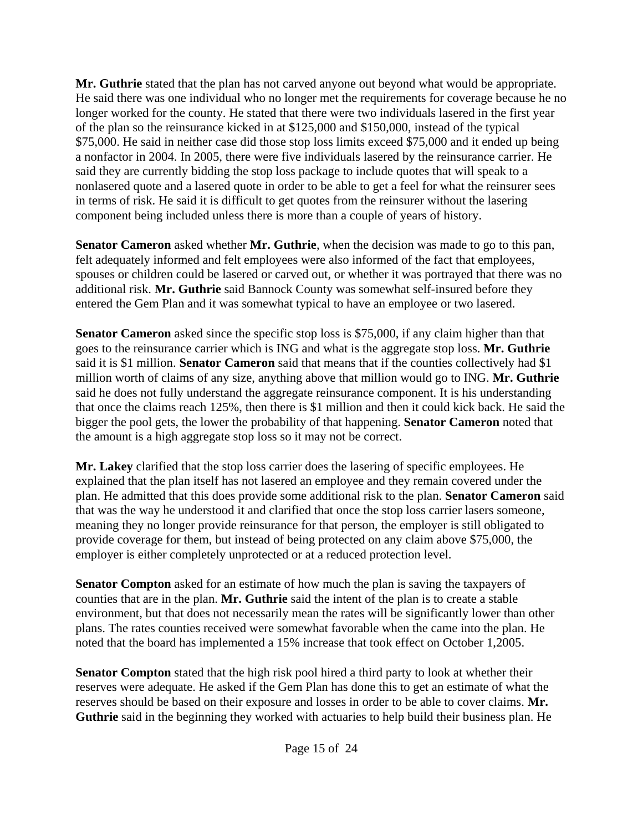**Mr. Guthrie** stated that the plan has not carved anyone out beyond what would be appropriate. He said there was one individual who no longer met the requirements for coverage because he no longer worked for the county. He stated that there were two individuals lasered in the first year of the plan so the reinsurance kicked in at \$125,000 and \$150,000, instead of the typical \$75,000. He said in neither case did those stop loss limits exceed \$75,000 and it ended up being a nonfactor in 2004. In 2005, there were five individuals lasered by the reinsurance carrier. He said they are currently bidding the stop loss package to include quotes that will speak to a nonlasered quote and a lasered quote in order to be able to get a feel for what the reinsurer sees in terms of risk. He said it is difficult to get quotes from the reinsurer without the lasering component being included unless there is more than a couple of years of history.

**Senator Cameron** asked whether **Mr. Guthrie**, when the decision was made to go to this pan, felt adequately informed and felt employees were also informed of the fact that employees, spouses or children could be lasered or carved out, or whether it was portrayed that there was no additional risk. **Mr. Guthrie** said Bannock County was somewhat self-insured before they entered the Gem Plan and it was somewhat typical to have an employee or two lasered.

**Senator Cameron** asked since the specific stop loss is \$75,000, if any claim higher than that goes to the reinsurance carrier which is ING and what is the aggregate stop loss. **Mr. Guthrie** said it is \$1 million. **Senator Cameron** said that means that if the counties collectively had \$1 million worth of claims of any size, anything above that million would go to ING. **Mr. Guthrie** said he does not fully understand the aggregate reinsurance component. It is his understanding that once the claims reach 125%, then there is \$1 million and then it could kick back. He said the bigger the pool gets, the lower the probability of that happening. **Senator Cameron** noted that the amount is a high aggregate stop loss so it may not be correct.

**Mr. Lakey** clarified that the stop loss carrier does the lasering of specific employees. He explained that the plan itself has not lasered an employee and they remain covered under the plan. He admitted that this does provide some additional risk to the plan. **Senator Cameron** said that was the way he understood it and clarified that once the stop loss carrier lasers someone, meaning they no longer provide reinsurance for that person, the employer is still obligated to provide coverage for them, but instead of being protected on any claim above \$75,000, the employer is either completely unprotected or at a reduced protection level.

**Senator Compton** asked for an estimate of how much the plan is saving the taxpayers of counties that are in the plan. **Mr. Guthrie** said the intent of the plan is to create a stable environment, but that does not necessarily mean the rates will be significantly lower than other plans. The rates counties received were somewhat favorable when the came into the plan. He noted that the board has implemented a 15% increase that took effect on October 1,2005.

**Senator Compton** stated that the high risk pool hired a third party to look at whether their reserves were adequate. He asked if the Gem Plan has done this to get an estimate of what the reserves should be based on their exposure and losses in order to be able to cover claims. **Mr. Guthrie** said in the beginning they worked with actuaries to help build their business plan. He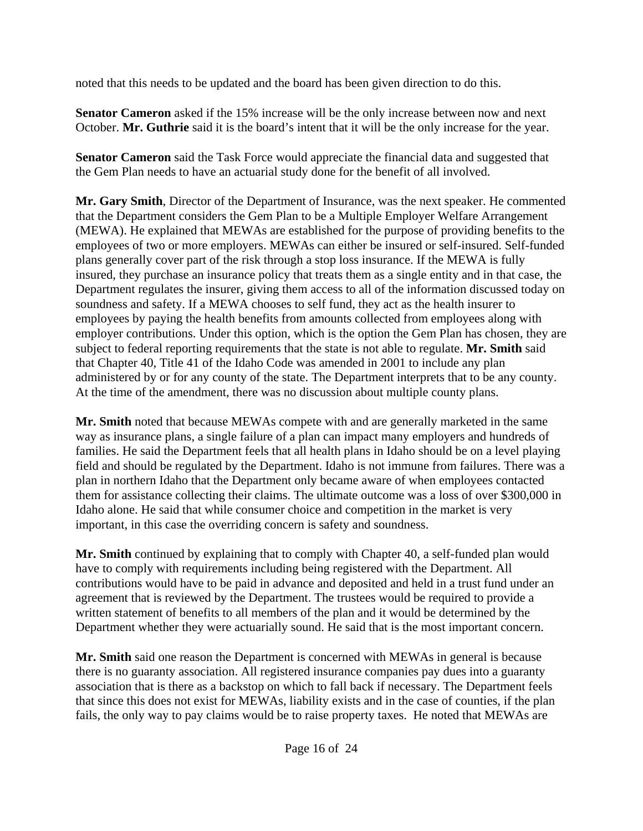noted that this needs to be updated and the board has been given direction to do this.

**Senator Cameron** asked if the 15% increase will be the only increase between now and next October. **Mr. Guthrie** said it is the board's intent that it will be the only increase for the year.

**Senator Cameron** said the Task Force would appreciate the financial data and suggested that the Gem Plan needs to have an actuarial study done for the benefit of all involved.

**Mr. Gary Smith**, Director of the Department of Insurance, was the next speaker. He commented that the Department considers the Gem Plan to be a Multiple Employer Welfare Arrangement (MEWA). He explained that MEWAs are established for the purpose of providing benefits to the employees of two or more employers. MEWAs can either be insured or self-insured. Self-funded plans generally cover part of the risk through a stop loss insurance. If the MEWA is fully insured, they purchase an insurance policy that treats them as a single entity and in that case, the Department regulates the insurer, giving them access to all of the information discussed today on soundness and safety. If a MEWA chooses to self fund, they act as the health insurer to employees by paying the health benefits from amounts collected from employees along with employer contributions. Under this option, which is the option the Gem Plan has chosen, they are subject to federal reporting requirements that the state is not able to regulate. **Mr. Smith** said that Chapter 40, Title 41 of the Idaho Code was amended in 2001 to include any plan administered by or for any county of the state. The Department interprets that to be any county. At the time of the amendment, there was no discussion about multiple county plans.

**Mr. Smith** noted that because MEWAs compete with and are generally marketed in the same way as insurance plans, a single failure of a plan can impact many employers and hundreds of families. He said the Department feels that all health plans in Idaho should be on a level playing field and should be regulated by the Department. Idaho is not immune from failures. There was a plan in northern Idaho that the Department only became aware of when employees contacted them for assistance collecting their claims. The ultimate outcome was a loss of over \$300,000 in Idaho alone. He said that while consumer choice and competition in the market is very important, in this case the overriding concern is safety and soundness.

**Mr. Smith** continued by explaining that to comply with Chapter 40, a self-funded plan would have to comply with requirements including being registered with the Department. All contributions would have to be paid in advance and deposited and held in a trust fund under an agreement that is reviewed by the Department. The trustees would be required to provide a written statement of benefits to all members of the plan and it would be determined by the Department whether they were actuarially sound. He said that is the most important concern.

**Mr. Smith** said one reason the Department is concerned with MEWAs in general is because there is no guaranty association. All registered insurance companies pay dues into a guaranty association that is there as a backstop on which to fall back if necessary. The Department feels that since this does not exist for MEWAs, liability exists and in the case of counties, if the plan fails, the only way to pay claims would be to raise property taxes. He noted that MEWAs are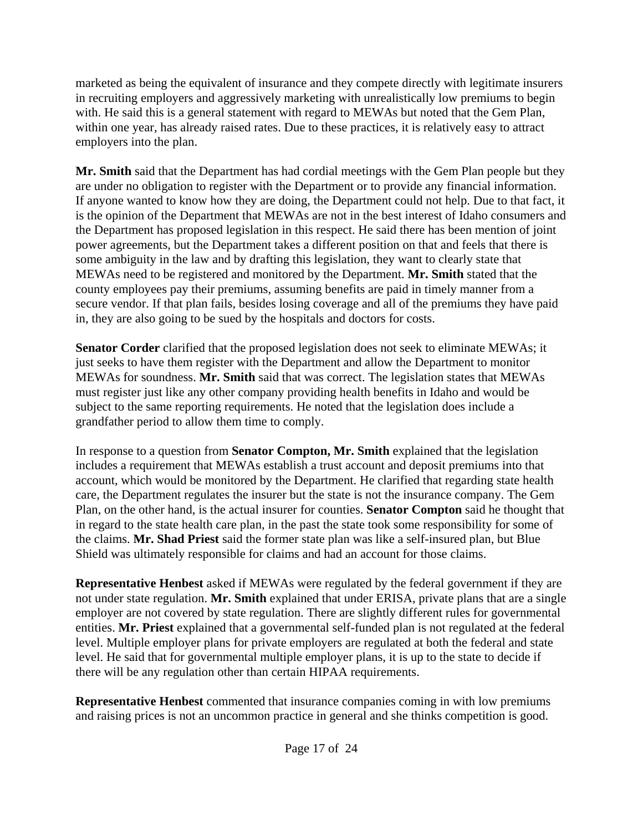marketed as being the equivalent of insurance and they compete directly with legitimate insurers in recruiting employers and aggressively marketing with unrealistically low premiums to begin with. He said this is a general statement with regard to MEWAs but noted that the Gem Plan, within one year, has already raised rates. Due to these practices, it is relatively easy to attract employers into the plan.

**Mr. Smith** said that the Department has had cordial meetings with the Gem Plan people but they are under no obligation to register with the Department or to provide any financial information. If anyone wanted to know how they are doing, the Department could not help. Due to that fact, it is the opinion of the Department that MEWAs are not in the best interest of Idaho consumers and the Department has proposed legislation in this respect. He said there has been mention of joint power agreements, but the Department takes a different position on that and feels that there is some ambiguity in the law and by drafting this legislation, they want to clearly state that MEWAs need to be registered and monitored by the Department. **Mr. Smith** stated that the county employees pay their premiums, assuming benefits are paid in timely manner from a secure vendor. If that plan fails, besides losing coverage and all of the premiums they have paid in, they are also going to be sued by the hospitals and doctors for costs.

**Senator Corder** clarified that the proposed legislation does not seek to eliminate MEWAs; it just seeks to have them register with the Department and allow the Department to monitor MEWAs for soundness. **Mr. Smith** said that was correct. The legislation states that MEWAs must register just like any other company providing health benefits in Idaho and would be subject to the same reporting requirements. He noted that the legislation does include a grandfather period to allow them time to comply.

In response to a question from **Senator Compton, Mr. Smith** explained that the legislation includes a requirement that MEWAs establish a trust account and deposit premiums into that account, which would be monitored by the Department. He clarified that regarding state health care, the Department regulates the insurer but the state is not the insurance company. The Gem Plan, on the other hand, is the actual insurer for counties. **Senator Compton** said he thought that in regard to the state health care plan, in the past the state took some responsibility for some of the claims. **Mr. Shad Priest** said the former state plan was like a self-insured plan, but Blue Shield was ultimately responsible for claims and had an account for those claims.

**Representative Henbest** asked if MEWAs were regulated by the federal government if they are not under state regulation. **Mr. Smith** explained that under ERISA, private plans that are a single employer are not covered by state regulation. There are slightly different rules for governmental entities. **Mr. Priest** explained that a governmental self-funded plan is not regulated at the federal level. Multiple employer plans for private employers are regulated at both the federal and state level. He said that for governmental multiple employer plans, it is up to the state to decide if there will be any regulation other than certain HIPAA requirements.

**Representative Henbest** commented that insurance companies coming in with low premiums and raising prices is not an uncommon practice in general and she thinks competition is good.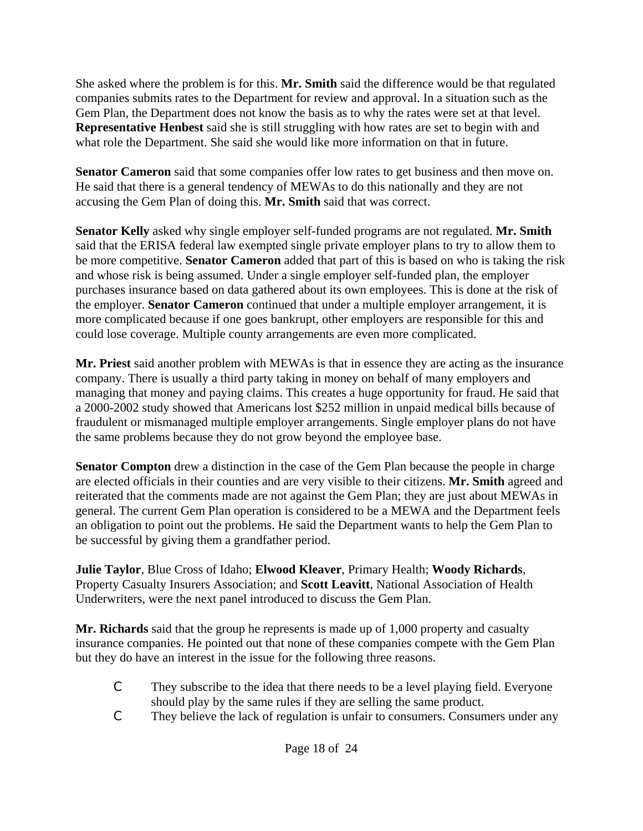She asked where the problem is for this. **Mr. Smith** said the difference would be that regulated companies submits rates to the Department for review and approval. In a situation such as the Gem Plan, the Department does not know the basis as to why the rates were set at that level. **Representative Henbest** said she is still struggling with how rates are set to begin with and what role the Department. She said she would like more information on that in future.

**Senator Cameron** said that some companies offer low rates to get business and then move on. He said that there is a general tendency of MEWAs to do this nationally and they are not accusing the Gem Plan of doing this. **Mr. Smith** said that was correct.

**Senator Kelly** asked why single employer self-funded programs are not regulated. **Mr. Smith** said that the ERISA federal law exempted single private employer plans to try to allow them to be more competitive. **Senator Cameron** added that part of this is based on who is taking the risk and whose risk is being assumed. Under a single employer self-funded plan, the employer purchases insurance based on data gathered about its own employees. This is done at the risk of the employer. **Senator Cameron** continued that under a multiple employer arrangement, it is more complicated because if one goes bankrupt, other employers are responsible for this and could lose coverage. Multiple county arrangements are even more complicated.

**Mr. Priest** said another problem with MEWAs is that in essence they are acting as the insurance company. There is usually a third party taking in money on behalf of many employers and managing that money and paying claims. This creates a huge opportunity for fraud. He said that a 2000-2002 study showed that Americans lost \$252 million in unpaid medical bills because of fraudulent or mismanaged multiple employer arrangements. Single employer plans do not have the same problems because they do not grow beyond the employee base.

**Senator Compton** drew a distinction in the case of the Gem Plan because the people in charge are elected officials in their counties and are very visible to their citizens. **Mr. Smith** agreed and reiterated that the comments made are not against the Gem Plan; they are just about MEWAs in general. The current Gem Plan operation is considered to be a MEWA and the Department feels an obligation to point out the problems. He said the Department wants to help the Gem Plan to be successful by giving them a grandfather period.

**Julie Taylor**, Blue Cross of Idaho; **Elwood Kleaver**, Primary Health; **Woody Richards**, Property Casualty Insurers Association; and **Scott Leavitt**, National Association of Health Underwriters, were the next panel introduced to discuss the Gem Plan.

**Mr. Richards** said that the group he represents is made up of 1,000 property and casualty insurance companies. He pointed out that none of these companies compete with the Gem Plan but they do have an interest in the issue for the following three reasons.

- C They subscribe to the idea that there needs to be a level playing field. Everyone should play by the same rules if they are selling the same product.
- C They believe the lack of regulation is unfair to consumers. Consumers under any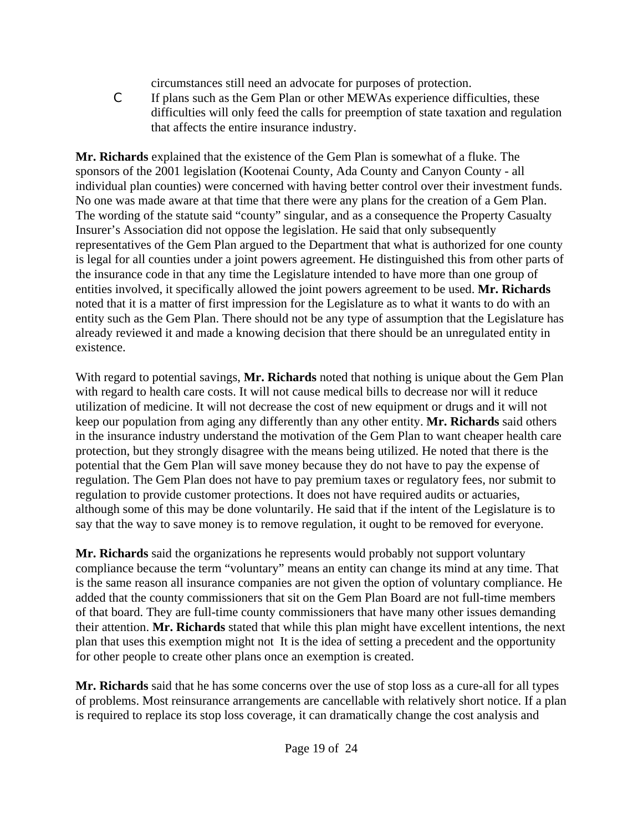circumstances still need an advocate for purposes of protection.

C If plans such as the Gem Plan or other MEWAs experience difficulties, these difficulties will only feed the calls for preemption of state taxation and regulation that affects the entire insurance industry.

**Mr. Richards** explained that the existence of the Gem Plan is somewhat of a fluke. The sponsors of the 2001 legislation (Kootenai County, Ada County and Canyon County - all individual plan counties) were concerned with having better control over their investment funds. No one was made aware at that time that there were any plans for the creation of a Gem Plan. The wording of the statute said "county" singular, and as a consequence the Property Casualty Insurer's Association did not oppose the legislation. He said that only subsequently representatives of the Gem Plan argued to the Department that what is authorized for one county is legal for all counties under a joint powers agreement. He distinguished this from other parts of the insurance code in that any time the Legislature intended to have more than one group of entities involved, it specifically allowed the joint powers agreement to be used. **Mr. Richards** noted that it is a matter of first impression for the Legislature as to what it wants to do with an entity such as the Gem Plan. There should not be any type of assumption that the Legislature has already reviewed it and made a knowing decision that there should be an unregulated entity in existence.

With regard to potential savings, **Mr. Richards** noted that nothing is unique about the Gem Plan with regard to health care costs. It will not cause medical bills to decrease nor will it reduce utilization of medicine. It will not decrease the cost of new equipment or drugs and it will not keep our population from aging any differently than any other entity. **Mr. Richards** said others in the insurance industry understand the motivation of the Gem Plan to want cheaper health care protection, but they strongly disagree with the means being utilized. He noted that there is the potential that the Gem Plan will save money because they do not have to pay the expense of regulation. The Gem Plan does not have to pay premium taxes or regulatory fees, nor submit to regulation to provide customer protections. It does not have required audits or actuaries, although some of this may be done voluntarily. He said that if the intent of the Legislature is to say that the way to save money is to remove regulation, it ought to be removed for everyone.

**Mr. Richards** said the organizations he represents would probably not support voluntary compliance because the term "voluntary" means an entity can change its mind at any time. That is the same reason all insurance companies are not given the option of voluntary compliance. He added that the county commissioners that sit on the Gem Plan Board are not full-time members of that board. They are full-time county commissioners that have many other issues demanding their attention. **Mr. Richards** stated that while this plan might have excellent intentions, the next plan that uses this exemption might not It is the idea of setting a precedent and the opportunity for other people to create other plans once an exemption is created.

**Mr. Richards** said that he has some concerns over the use of stop loss as a cure-all for all types of problems. Most reinsurance arrangements are cancellable with relatively short notice. If a plan is required to replace its stop loss coverage, it can dramatically change the cost analysis and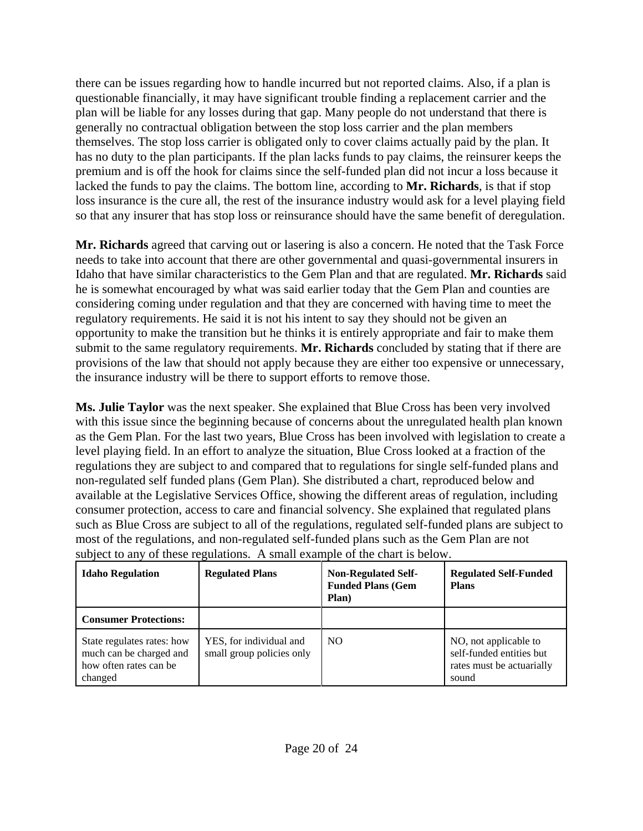there can be issues regarding how to handle incurred but not reported claims. Also, if a plan is questionable financially, it may have significant trouble finding a replacement carrier and the plan will be liable for any losses during that gap. Many people do not understand that there is generally no contractual obligation between the stop loss carrier and the plan members themselves. The stop loss carrier is obligated only to cover claims actually paid by the plan. It has no duty to the plan participants. If the plan lacks funds to pay claims, the reinsurer keeps the premium and is off the hook for claims since the self-funded plan did not incur a loss because it lacked the funds to pay the claims. The bottom line, according to **Mr. Richards**, is that if stop loss insurance is the cure all, the rest of the insurance industry would ask for a level playing field so that any insurer that has stop loss or reinsurance should have the same benefit of deregulation.

**Mr. Richards** agreed that carving out or lasering is also a concern. He noted that the Task Force needs to take into account that there are other governmental and quasi-governmental insurers in Idaho that have similar characteristics to the Gem Plan and that are regulated. **Mr. Richards** said he is somewhat encouraged by what was said earlier today that the Gem Plan and counties are considering coming under regulation and that they are concerned with having time to meet the regulatory requirements. He said it is not his intent to say they should not be given an opportunity to make the transition but he thinks it is entirely appropriate and fair to make them submit to the same regulatory requirements. **Mr. Richards** concluded by stating that if there are provisions of the law that should not apply because they are either too expensive or unnecessary, the insurance industry will be there to support efforts to remove those.

**Ms. Julie Taylor** was the next speaker. She explained that Blue Cross has been very involved with this issue since the beginning because of concerns about the unregulated health plan known as the Gem Plan. For the last two years, Blue Cross has been involved with legislation to create a level playing field. In an effort to analyze the situation, Blue Cross looked at a fraction of the regulations they are subject to and compared that to regulations for single self-funded plans and non-regulated self funded plans (Gem Plan). She distributed a chart, reproduced below and available at the Legislative Services Office, showing the different areas of regulation, including consumer protection, access to care and financial solvency. She explained that regulated plans such as Blue Cross are subject to all of the regulations, regulated self-funded plans are subject to most of the regulations, and non-regulated self-funded plans such as the Gem Plan are not subject to any of these regulations. A small example of the chart is below.

| <b>Idaho Regulation</b>                                                                    | <b>Regulated Plans</b>                               | <b>Non-Regulated Self-</b><br><b>Funded Plans (Gem</b><br>Plan) | <b>Regulated Self-Funded</b><br><b>Plans</b>                                            |
|--------------------------------------------------------------------------------------------|------------------------------------------------------|-----------------------------------------------------------------|-----------------------------------------------------------------------------------------|
| <b>Consumer Protections:</b>                                                               |                                                      |                                                                 |                                                                                         |
| State regulates rates: how<br>much can be charged and<br>how often rates can be<br>changed | YES, for individual and<br>small group policies only | N <sub>O</sub>                                                  | NO, not applicable to<br>self-funded entities but<br>rates must be actuarially<br>sound |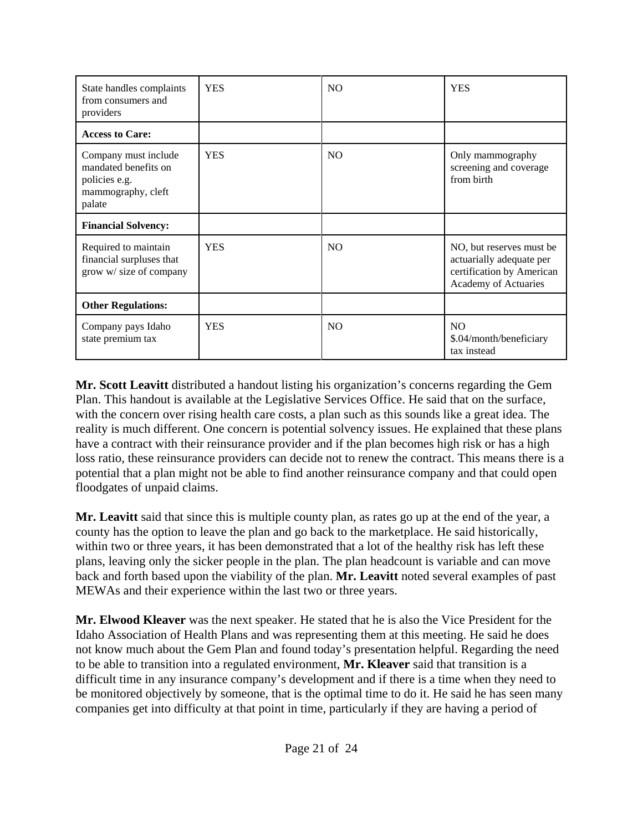| State handles complaints<br>from consumers and<br>providers                                   | <b>YES</b> | N <sub>O</sub> | <b>YES</b>                                                                                                 |
|-----------------------------------------------------------------------------------------------|------------|----------------|------------------------------------------------------------------------------------------------------------|
| <b>Access to Care:</b>                                                                        |            |                |                                                                                                            |
| Company must include<br>mandated benefits on<br>policies e.g.<br>mammography, cleft<br>palate | <b>YES</b> | N <sub>O</sub> | Only mammography<br>screening and coverage<br>from birth                                                   |
| <b>Financial Solvency:</b>                                                                    |            |                |                                                                                                            |
| Required to maintain<br>financial surpluses that<br>grow w/ size of company                   | <b>YES</b> | N <sub>O</sub> | NO, but reserves must be.<br>actuarially adequate per<br>certification by American<br>Academy of Actuaries |
| <b>Other Regulations:</b>                                                                     |            |                |                                                                                                            |
| Company pays Idaho<br>state premium tax                                                       | <b>YES</b> | N <sub>O</sub> | N <sub>O</sub><br>\$.04/month/beneficiary<br>tax instead                                                   |

**Mr. Scott Leavitt** distributed a handout listing his organization's concerns regarding the Gem Plan. This handout is available at the Legislative Services Office. He said that on the surface, with the concern over rising health care costs, a plan such as this sounds like a great idea. The reality is much different. One concern is potential solvency issues. He explained that these plans have a contract with their reinsurance provider and if the plan becomes high risk or has a high loss ratio, these reinsurance providers can decide not to renew the contract. This means there is a potential that a plan might not be able to find another reinsurance company and that could open floodgates of unpaid claims.

**Mr. Leavitt** said that since this is multiple county plan, as rates go up at the end of the year, a county has the option to leave the plan and go back to the marketplace. He said historically, within two or three years, it has been demonstrated that a lot of the healthy risk has left these plans, leaving only the sicker people in the plan. The plan headcount is variable and can move back and forth based upon the viability of the plan. **Mr. Leavitt** noted several examples of past MEWAs and their experience within the last two or three years.

**Mr. Elwood Kleaver** was the next speaker. He stated that he is also the Vice President for the Idaho Association of Health Plans and was representing them at this meeting. He said he does not know much about the Gem Plan and found today's presentation helpful. Regarding the need to be able to transition into a regulated environment, **Mr. Kleaver** said that transition is a difficult time in any insurance company's development and if there is a time when they need to be monitored objectively by someone, that is the optimal time to do it. He said he has seen many companies get into difficulty at that point in time, particularly if they are having a period of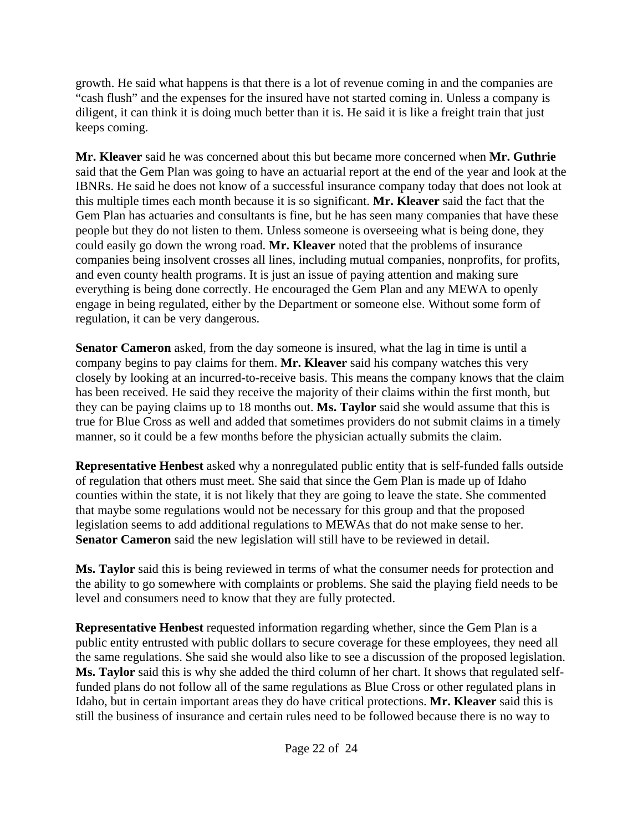growth. He said what happens is that there is a lot of revenue coming in and the companies are "cash flush" and the expenses for the insured have not started coming in. Unless a company is diligent, it can think it is doing much better than it is. He said it is like a freight train that just keeps coming.

**Mr. Kleaver** said he was concerned about this but became more concerned when **Mr. Guthrie** said that the Gem Plan was going to have an actuarial report at the end of the year and look at the IBNRs. He said he does not know of a successful insurance company today that does not look at this multiple times each month because it is so significant. **Mr. Kleaver** said the fact that the Gem Plan has actuaries and consultants is fine, but he has seen many companies that have these people but they do not listen to them. Unless someone is overseeing what is being done, they could easily go down the wrong road. **Mr. Kleaver** noted that the problems of insurance companies being insolvent crosses all lines, including mutual companies, nonprofits, for profits, and even county health programs. It is just an issue of paying attention and making sure everything is being done correctly. He encouraged the Gem Plan and any MEWA to openly engage in being regulated, either by the Department or someone else. Without some form of regulation, it can be very dangerous.

**Senator Cameron** asked, from the day someone is insured, what the lag in time is until a company begins to pay claims for them. **Mr. Kleaver** said his company watches this very closely by looking at an incurred-to-receive basis. This means the company knows that the claim has been received. He said they receive the majority of their claims within the first month, but they can be paying claims up to 18 months out. **Ms. Taylor** said she would assume that this is true for Blue Cross as well and added that sometimes providers do not submit claims in a timely manner, so it could be a few months before the physician actually submits the claim.

**Representative Henbest** asked why a nonregulated public entity that is self-funded falls outside of regulation that others must meet. She said that since the Gem Plan is made up of Idaho counties within the state, it is not likely that they are going to leave the state. She commented that maybe some regulations would not be necessary for this group and that the proposed legislation seems to add additional regulations to MEWAs that do not make sense to her. **Senator Cameron** said the new legislation will still have to be reviewed in detail.

**Ms. Taylor** said this is being reviewed in terms of what the consumer needs for protection and the ability to go somewhere with complaints or problems. She said the playing field needs to be level and consumers need to know that they are fully protected.

**Representative Henbest** requested information regarding whether, since the Gem Plan is a public entity entrusted with public dollars to secure coverage for these employees, they need all the same regulations. She said she would also like to see a discussion of the proposed legislation. **Ms. Taylor** said this is why she added the third column of her chart. It shows that regulated selffunded plans do not follow all of the same regulations as Blue Cross or other regulated plans in Idaho, but in certain important areas they do have critical protections. **Mr. Kleaver** said this is still the business of insurance and certain rules need to be followed because there is no way to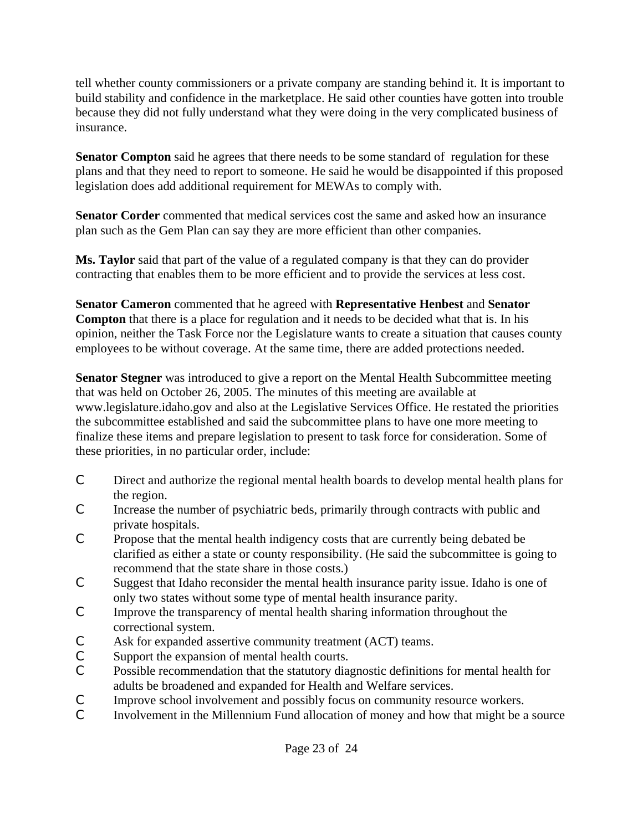tell whether county commissioners or a private company are standing behind it. It is important to build stability and confidence in the marketplace. He said other counties have gotten into trouble because they did not fully understand what they were doing in the very complicated business of insurance.

**Senator Compton** said he agrees that there needs to be some standard of regulation for these plans and that they need to report to someone. He said he would be disappointed if this proposed legislation does add additional requirement for MEWAs to comply with.

**Senator Corder** commented that medical services cost the same and asked how an insurance plan such as the Gem Plan can say they are more efficient than other companies.

**Ms. Taylor** said that part of the value of a regulated company is that they can do provider contracting that enables them to be more efficient and to provide the services at less cost.

**Senator Cameron** commented that he agreed with **Representative Henbest** and **Senator Compton** that there is a place for regulation and it needs to be decided what that is. In his opinion, neither the Task Force nor the Legislature wants to create a situation that causes county employees to be without coverage. At the same time, there are added protections needed.

**Senator Stegner** was introduced to give a report on the Mental Health Subcommittee meeting that was held on October 26, 2005. The minutes of this meeting are available at [www.legislature.idaho.gov a](http://www.legislature.idaho.gov)nd also at the Legislative Services Office. He restated the priorities the subcommittee established and said the subcommittee plans to have one more meeting to finalize these items and prepare legislation to present to task force for consideration. Some of these priorities, in no particular order, include:

- C Direct and authorize the regional mental health boards to develop mental health plans for the region.
- C Increase the number of psychiatric beds, primarily through contracts with public and private hospitals.
- C Propose that the mental health indigency costs that are currently being debated be clarified as either a state or county responsibility. (He said the subcommittee is going to recommend that the state share in those costs.)
- C Suggest that Idaho reconsider the mental health insurance parity issue. Idaho is one of only two states without some type of mental health insurance parity.
- C Improve the transparency of mental health sharing information throughout the correctional system.
- C Ask for expanded assertive community treatment (ACT) teams.
- C Support the expansion of mental health courts.
- C Possible recommendation that the statutory diagnostic definitions for mental health for adults be broadened and expanded for Health and Welfare services.
- C Improve school involvement and possibly focus on community resource workers.
- C Involvement in the Millennium Fund allocation of money and how that might be a source